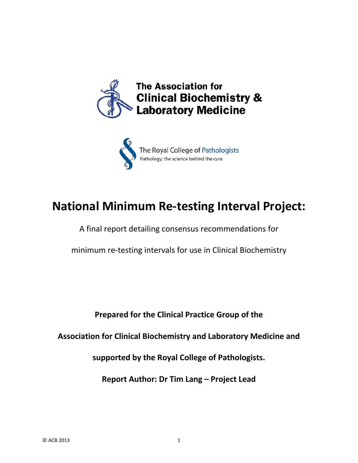



# **National Minimum Re‐testing Interval Project:**

A final report detailing consensus recommendations for

minimum re‐testing intervals for use in Clinical Biochemistry

**Prepared for the Clinical Practice Group of the** 

**Association for Clinical Biochemistry and Laboratory Medicine and**

**supported by the Royal College of Pathologists.**

**Report Author: Dr Tim Lang – Project Lead**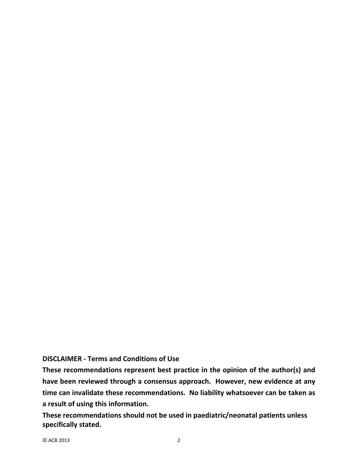#### **DISCLAIMER ‐ Terms and Conditions of Use**

**These recommendations represent best practice in the opinion of the author(s) and have been reviewed through a consensus approach. However, new evidence at any time can invalidate these recommendations. No liability whatsoever can be taken as a result of using this information.**

**These recommendations should not be used in paediatric/neonatal patients unless specifically stated.**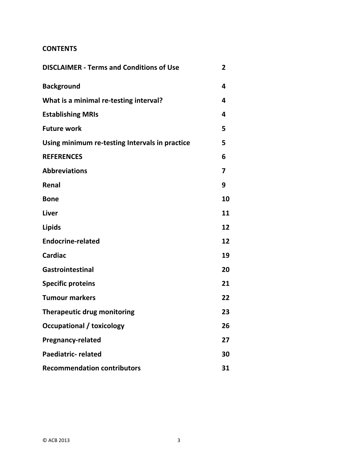#### **CONTENTS**

| <b>DISCLAIMER - Terms and Conditions of Use</b> | 2  |
|-------------------------------------------------|----|
| <b>Background</b>                               | 4  |
| What is a minimal re-testing interval?          | 4  |
| <b>Establishing MRIs</b>                        | 4  |
| <b>Future work</b>                              | 5  |
| Using minimum re-testing Intervals in practice  | 5  |
| <b>REFERENCES</b>                               | 6  |
| <b>Abbreviations</b>                            | 7  |
| Renal                                           | 9  |
| <b>Bone</b>                                     | 10 |
| <b>Liver</b>                                    | 11 |
| <b>Lipids</b>                                   | 12 |
| <b>Endocrine-related</b>                        | 12 |
| <b>Cardiac</b>                                  | 19 |
| Gastrointestinal                                | 20 |
| <b>Specific proteins</b>                        | 21 |
| <b>Tumour markers</b>                           | 22 |
| <b>Therapeutic drug monitoring</b>              | 23 |
| <b>Occupational / toxicology</b>                | 26 |
| <b>Pregnancy-related</b>                        | 27 |
| <b>Paediatric- related</b>                      | 30 |
| <b>Recommendation contributors</b>              | 31 |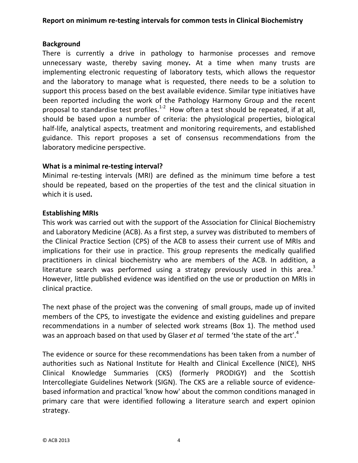#### **Background**

There is currently a drive in pathology to harmonise processes and remove unnecessary waste, thereby saving money**.** At a time when many trusts are implementing electronic requesting of laboratory tests, which allows the requestor and the laboratory to manage what is requested, there needs to be a solution to support this process based on the best available evidence. Similar type initiatives have been reported including the work of the Pathology Harmony Group and the recent proposal to standardise test profiles.<sup>1-2</sup> How often a test should be repeated, if at all, should be based upon a number of criteria: the physiological properties, biological half-life, analytical aspects, treatment and monitoring requirements, and established guidance. This report proposes a set of consensus recommendations from the laboratory medicine perspective.

#### **What is a minimal re‐testing interval?**

Minimal re‐testing intervals (MRI) are defined as the minimum time before a test should be repeated, based on the properties of the test and the clinical situation in which it is used**.**

#### **Establishing MRIs**

This work was carried out with the support of the Association for Clinical Biochemistry and Laboratory Medicine (ACB). As a first step, a survey was distributed to members of the Clinical Practice Section (CPS) of the ACB to assess their current use of MRIs and implications for their use in practice. This group represents the medically qualified practitioners in clinical biochemistry who are members of the ACB. In addition, a literature search was performed using a strategy previously used in this area.<sup>3</sup> However, little published evidence was identified on the use or production on MRIs in clinical practice.

The next phase of the project was the convening of small groups, made up of invited members of the CPS, to investigate the evidence and existing guidelines and prepare recommendations in a number of selected work streams (Box 1). The method used was an approach based on that used by Glaser *et al* termed 'the state of the art'.<sup>4</sup>

The evidence or source for these recommendations has been taken from a number of authorities such as National Institute for Health and Clinical Excellence (NICE), NHS Clinical Knowledge Summaries (CKS) (formerly PRODIGY) and the Scottish Intercollegiate Guidelines Network (SIGN). The CKS are a reliable source of evidence‐ based information and practical 'know how' about the common conditions managed in primary care that were identified following a literature search and expert opinion strategy.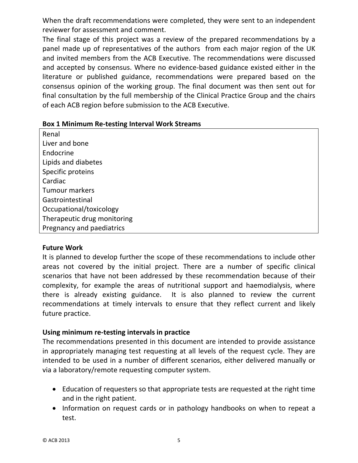When the draft recommendations were completed, they were sent to an independent reviewer for assessment and comment.

The final stage of this project was a review of the prepared recommendations by a panel made up of representatives of the authors from each major region of the UK and invited members from the ACB Executive. The recommendations were discussed and accepted by consensus. Where no evidence‐based guidance existed either in the literature or published guidance, recommendations were prepared based on the consensus opinion of the working group. The final document was then sent out for final consultation by the full membership of the Clinical Practice Group and the chairs of each ACB region before submission to the ACB Executive.

| <b>Box 1 Minimum Re-testing Interval Work Streams</b> |  |
|-------------------------------------------------------|--|
|-------------------------------------------------------|--|

Renal Liver and bone Endocrine Lipids and diabetes Specific proteins Cardiac Tumour markers **Gastrointestinal** Occupational/toxicology Therapeutic drug monitoring Pregnancy and paediatrics

#### **Future Work**

It is planned to develop further the scope of these recommendations to include other areas not covered by the initial project. There are a number of specific clinical scenarios that have not been addressed by these recommendation because of their complexity, for example the areas of nutritional support and haemodialysis, where there is already existing guidance. It is also planned to review the current recommendations at timely intervals to ensure that they reflect current and likely future practice.

## **Using minimum re‐testing intervals in practice**

The recommendations presented in this document are intended to provide assistance in appropriately managing test requesting at all levels of the request cycle. They are intended to be used in a number of different scenarios, either delivered manually or via a laboratory/remote requesting computer system.

- Education of requesters so that appropriate tests are requested at the right time and in the right patient.
- Information on request cards or in pathology handbooks on when to repeat a test.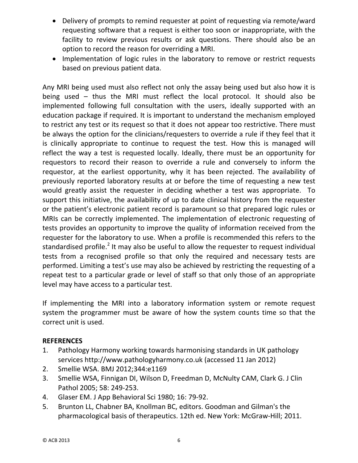- Delivery of prompts to remind requester at point of requesting via remote/ward requesting software that a request is either too soon or inappropriate, with the facility to review previous results or ask questions. There should also be an option to record the reason for overriding a MRI.
- Implementation of logic rules in the laboratory to remove or restrict requests based on previous patient data.

Any MRI being used must also reflect not only the assay being used but also how it is being used – thus the MRI must reflect the local protocol. It should also be implemented following full consultation with the users, ideally supported with an education package if required. It is important to understand the mechanism employed to restrict any test or its request so that it does not appear too restrictive. There must be always the option for the clinicians/requesters to override a rule if they feel that it is clinically appropriate to continue to request the test. How this is managed will reflect the way a test is requested locally. Ideally, there must be an opportunity for requestors to record their reason to override a rule and conversely to inform the requestor, at the earliest opportunity, why it has been rejected. The availability of previously reported laboratory results at or before the time of requesting a new test would greatly assist the requester in deciding whether a test was appropriate. To support this initiative, the availability of up to date clinical history from the requester or the patient's electronic patient record is paramount so that prepared logic rules or MRIs can be correctly implemented. The implementation of electronic requesting of tests provides an opportunity to improve the quality of information received from the requester for the laboratory to use. When a profile is recommended this refers to the standardised profile.<sup>2</sup> It may also be useful to allow the requester to request individual tests from a recognised profile so that only the required and necessary tests are performed. Limiting a test's use may also be achieved by restricting the requesting of a repeat test to a particular grade or level of staff so that only those of an appropriate level may have access to a particular test.

If implementing the MRI into a laboratory information system or remote request system the programmer must be aware of how the system counts time so that the correct unit is used.

#### **REFERENCES**

- 1. Pathology Harmony working towards harmonising standards in UK pathology services http://www.pathologyharmony.co.uk (accessed 11 Jan 2012)
- 2. Smellie WSA. BMJ 2012;344:e1169
- 3. Smellie WSA, Finnigan DI, Wilson D, Freedman D, McNulty CAM, Clark G. J Clin Pathol 2005; 58: 249‐253.
- 4. Glaser EM. J App Behavioral Sci 1980; 16: 79‐92.
- 5. Brunton LL, Chabner BA, Knollman BC, editors. Goodman and Gilman's the pharmacological basis of therapeutics. 12th ed. New York: McGraw‐Hill; 2011.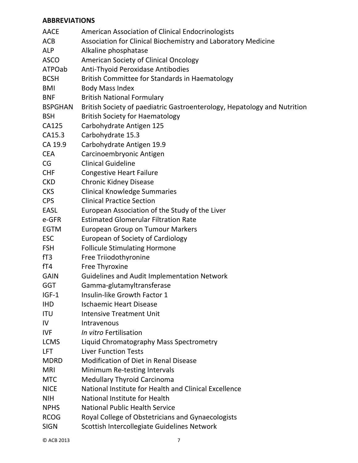#### **ABBREVIATIONS**

| <b>AACE</b>    | American Association of Clinical Endocrinologists                        |
|----------------|--------------------------------------------------------------------------|
| <b>ACB</b>     | Association for Clinical Biochemistry and Laboratory Medicine            |
| <b>ALP</b>     | Alkaline phosphatase                                                     |
| <b>ASCO</b>    | American Society of Clinical Oncology                                    |
| ATPOab         | Anti-Thyoid Peroxidase Antibodies                                        |
| <b>BCSH</b>    | British Committee for Standards in Haematology                           |
| <b>BMI</b>     | <b>Body Mass Index</b>                                                   |
| <b>BNF</b>     | <b>British National Formulary</b>                                        |
| <b>BSPGHAN</b> | British Society of paediatric Gastroenterology, Hepatology and Nutrition |
| <b>BSH</b>     | <b>British Society for Haematology</b>                                   |
| CA125          | Carbohydrate Antigen 125                                                 |
| CA15.3         | Carbohydrate 15.3                                                        |
| CA 19.9        | Carbohydrate Antigen 19.9                                                |
| <b>CEA</b>     | Carcinoembryonic Antigen                                                 |
| CG             | <b>Clinical Guideline</b>                                                |
| <b>CHF</b>     | <b>Congestive Heart Failure</b>                                          |
| <b>CKD</b>     | <b>Chronic Kidney Disease</b>                                            |
| <b>CKS</b>     | <b>Clinical Knowledge Summaries</b>                                      |
| <b>CPS</b>     | <b>Clinical Practice Section</b>                                         |
| <b>EASL</b>    | European Association of the Study of the Liver                           |
| e-GFR          | <b>Estimated Glomerular Filtration Rate</b>                              |
| <b>EGTM</b>    | European Group on Tumour Markers                                         |
| <b>ESC</b>     | European of Society of Cardiology                                        |
| <b>FSH</b>     | <b>Follicule Stimulating Hormone</b>                                     |
| fT3            | Free Triiodothyronine                                                    |
| fT4            | Free Thyroxine                                                           |
| <b>GAIN</b>    | <b>Guidelines and Audit Implementation Network</b>                       |
| <b>GGT</b>     | Gamma-glutamyltransferase                                                |
| $IGF-1$        | Insulin-like Growth Factor 1                                             |
| <b>IHD</b>     | <b>Ischaemic Heart Disease</b>                                           |
| <b>ITU</b>     | <b>Intensive Treatment Unit</b>                                          |
| IV             | Intravenous                                                              |
| <b>IVF</b>     | In vitro Fertilisation                                                   |
| <b>LCMS</b>    | Liquid Chromatography Mass Spectrometry                                  |
| LFT            | <b>Liver Function Tests</b>                                              |
| <b>MDRD</b>    | <b>Modification of Diet in Renal Disease</b>                             |
| <b>MRI</b>     | Minimum Re-testing Intervals                                             |
| <b>MTC</b>     | <b>Medullary Thyroid Carcinoma</b>                                       |
| <b>NICE</b>    | National Institute for Health and Clinical Excellence                    |
| <b>NIH</b>     | National Institute for Health                                            |
| <b>NPHS</b>    | <b>National Public Health Service</b>                                    |
| <b>RCOG</b>    | Royal College of Obstetricians and Gynaecologists                        |
| <b>SIGN</b>    | Scottish Intercollegiate Guidelines Network                              |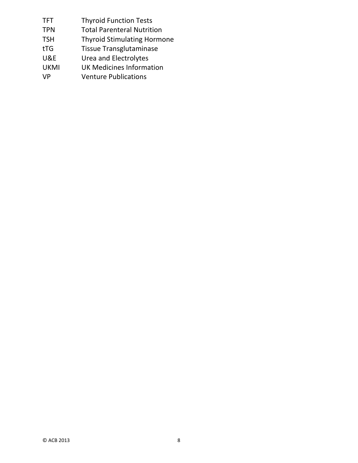| <b>TFT</b>     | <b>Thyroid Function Tests</b>      |
|----------------|------------------------------------|
| <b>TPN</b>     | <b>Total Parenteral Nutrition</b>  |
| <b>TSH</b>     | <b>Thyroid Stimulating Hormone</b> |
| tTG            | <b>Tissue Transglutaminase</b>     |
| <b>U&amp;E</b> | Urea and Electrolytes              |
| <b>UKMI</b>    | <b>UK Medicines Information</b>    |
| <b>VP</b>      | <b>Venture Publications</b>        |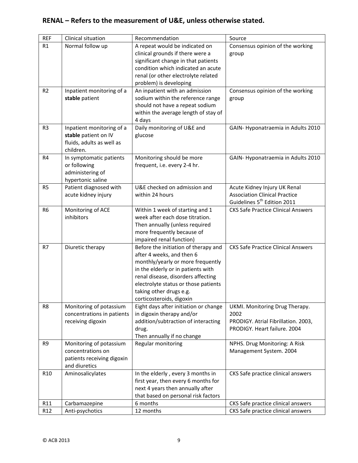# **RENAL – Refers to the measurement of U&E, unless otherwise stated.**

| <b>REF</b>      | Clinical situation         | Recommendation                                                   | Source                                    |
|-----------------|----------------------------|------------------------------------------------------------------|-------------------------------------------|
| R1              | Normal follow up           | A repeat would be indicated on                                   | Consensus opinion of the working          |
|                 |                            | clinical grounds if there were a                                 | group                                     |
|                 |                            | significant change in that patients                              |                                           |
|                 |                            | condition which indicated an acute                               |                                           |
|                 |                            | renal (or other electrolyte related                              |                                           |
|                 |                            | problem) is developing                                           |                                           |
| R <sub>2</sub>  | Inpatient monitoring of a  | An inpatient with an admission                                   | Consensus opinion of the working          |
|                 | stable patient             | sodium within the reference range                                | group                                     |
|                 |                            | should not have a repeat sodium                                  |                                           |
|                 |                            | within the average length of stay of                             |                                           |
|                 |                            | 4 days                                                           |                                           |
| R <sub>3</sub>  | Inpatient monitoring of a  | Daily monitoring of U&E and                                      | GAIN-Hyponatraemia in Adults 2010         |
|                 | stable patient on IV       | glucose                                                          |                                           |
|                 | fluids, adults as well as  |                                                                  |                                           |
|                 | children.                  |                                                                  |                                           |
| R <sub>4</sub>  | In symptomatic patients    | Monitoring should be more                                        | GAIN-Hyponatraemia in Adults 2010         |
|                 | or following               | frequent, i.e. every 2-4 hr.                                     |                                           |
|                 | administering of           |                                                                  |                                           |
|                 | hypertonic saline          |                                                                  |                                           |
| R <sub>5</sub>  | Patient diagnosed with     | U&E checked on admission and                                     | Acute Kidney Injury UK Renal              |
|                 | acute kidney injury        | within 24 hours                                                  | <b>Association Clinical Practice</b>      |
|                 |                            |                                                                  | Guidelines 5 <sup>th</sup> Edition 2011   |
| R <sub>6</sub>  | Monitoring of ACE          | Within 1 week of starting and 1                                  | <b>CKS Safe Practice Clinical Answers</b> |
|                 | inhibitors                 | week after each dose titration.                                  |                                           |
|                 |                            | Then annually (unless required                                   |                                           |
|                 |                            | more frequently because of                                       |                                           |
| R7              | Diuretic therapy           | impaired renal function)<br>Before the initiation of therapy and | <b>CKS Safe Practice Clinical Answers</b> |
|                 |                            | after 4 weeks, and then 6                                        |                                           |
|                 |                            | monthly/yearly or more frequently                                |                                           |
|                 |                            | in the elderly or in patients with                               |                                           |
|                 |                            | renal disease, disorders affecting                               |                                           |
|                 |                            | electrolyte status or those patients                             |                                           |
|                 |                            | taking other drugs e.g.                                          |                                           |
|                 |                            | corticosteroids, digoxin                                         |                                           |
| R8              | Monitoring of potassium    | Eight days after initiation or change                            | UKMI. Monitoring Drug Therapy.            |
|                 | concentrations in patients | in digoxin therapy and/or                                        | 2002                                      |
|                 | receiving digoxin          | addition/subtraction of interacting                              | PRODIGY. Atrial Fibrillation. 2003,       |
|                 |                            | drug.                                                            | PRODIGY. Heart failure. 2004              |
|                 |                            | Then annually if no change                                       |                                           |
| R9              | Monitoring of potassium    | Regular monitoring                                               | NPHS. Drug Monitoring: A Risk             |
|                 | concentrations on          |                                                                  | Management System. 2004                   |
|                 | patients receiving digoxin |                                                                  |                                           |
|                 | and diuretics              |                                                                  |                                           |
| R <sub>10</sub> | Aminosalicylates           | In the elderly, every 3 months in                                | CKS Safe practice clinical answers        |
|                 |                            | first year, then every 6 months for                              |                                           |
|                 |                            | next 4 years then annually after                                 |                                           |
|                 |                            | that based on personal risk factors                              |                                           |
| R11             | Carbamazepine              | 6 months                                                         | CKS Safe practice clinical answers        |
| R12             | Anti-psychotics            | 12 months                                                        | CKS Safe practice clinical answers        |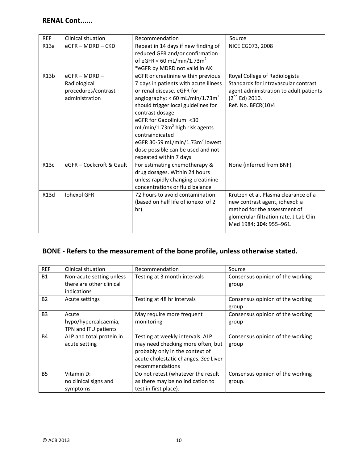#### **RENAL Cont......**

| <b>REF</b>        | Clinical situation                                                       | Recommendation                                                                                                                                                                                                                                                                                                                                                                                             | Source                                                                                                                                                                      |
|-------------------|--------------------------------------------------------------------------|------------------------------------------------------------------------------------------------------------------------------------------------------------------------------------------------------------------------------------------------------------------------------------------------------------------------------------------------------------------------------------------------------------|-----------------------------------------------------------------------------------------------------------------------------------------------------------------------------|
| R13a              | $eGFR - MDRD - CKD$                                                      | Repeat in 14 days if new finding of<br>reduced GFR and/or confirmation<br>of eGFR < 60 mL/min/1.73 $m2$<br>*eGFR by MDRD not valid in AKI                                                                                                                                                                                                                                                                  | <b>NICE CG073, 2008</b>                                                                                                                                                     |
| R <sub>13</sub> b | $eGFR - MDRD -$<br>Radiological<br>procedures/contrast<br>administration | eGFR or creatinine within previous<br>7 days in patients with acute illness<br>or renal disease, eGFR for<br>angiography: < 60 mL/min/1.73 $m2$<br>should trigger local guidelines for<br>contrast dosage<br>eGFR for Gadolinium: <30<br>$mL/min/1.73m2$ high risk agents<br>contraindicated<br>eGFR 30-59 mL/min/1.73m <sup>2</sup> lowest<br>dose possible can be used and not<br>repeated within 7 days | Royal College of Radiologists<br>Standards for intravascular contrast<br>agent administration to adult patients<br>$(2^{nd}$ Ed) 2010.<br>Ref. No. BFCR(10)4                |
| R <sub>13</sub> c | eGFR - Cockcroft & Gault                                                 | For estimating chemotherapy &<br>drug dosages. Within 24 hours<br>unless rapidly changing creatinine<br>concentrations or fluid balance                                                                                                                                                                                                                                                                    | None (inferred from BNF)                                                                                                                                                    |
| R13d              | <b>Iohexol GFR</b>                                                       | 72 hours to avoid contamination<br>(based on half life of iohexol of 2<br>hr)                                                                                                                                                                                                                                                                                                                              | Krutzen et al. Plasma clearance of a<br>new contrast agent, iohexol: a<br>method for the assessment of<br>glomerular filtration rate. J Lab Clin<br>Med 1984; 104: 955-961. |

#### **BONE ‐ Refers to the measurement of the bone profile, unless otherwise stated.**

| <b>REF</b> | Clinical situation                                    | Recommendation                                                                                                                                                      | Source                                     |
|------------|-------------------------------------------------------|---------------------------------------------------------------------------------------------------------------------------------------------------------------------|--------------------------------------------|
| <b>B1</b>  | Non-acute setting unless<br>there are other clinical  | Testing at 3 month intervals                                                                                                                                        | Consensus opinion of the working<br>group  |
|            | indications                                           |                                                                                                                                                                     |                                            |
| <b>B2</b>  | Acute settings                                        | Testing at 48 hr intervals                                                                                                                                          | Consensus opinion of the working<br>group  |
| <b>B3</b>  | Acute<br>hypo/hypercalcaemia,<br>TPN and ITU patients | May require more frequent<br>monitoring                                                                                                                             | Consensus opinion of the working<br>group  |
| <b>B4</b>  | ALP and total protein in<br>acute setting             | Testing at weekly intervals. ALP<br>may need checking more often, but<br>probably only in the context of<br>acute cholestatic changes. See Liver<br>recommendations | Consensus opinion of the working<br>group  |
| <b>B5</b>  | Vitamin D:<br>no clinical signs and<br>symptoms       | Do not retest (whatever the result<br>as there may be no indication to<br>test in first place).                                                                     | Consensus opinion of the working<br>group. |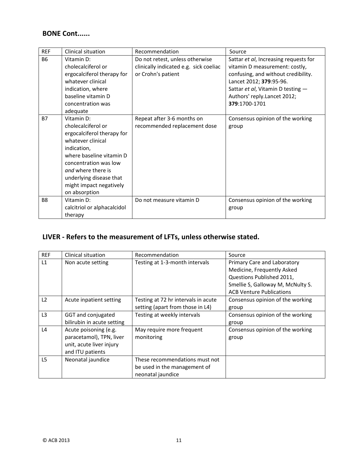## **BONE Cont......**

| <b>REF</b> | Clinical situation                                                                                                                                                                                                                                   | Recommendation                                                                                  | Source                                                                                                                                                                                                                         |
|------------|------------------------------------------------------------------------------------------------------------------------------------------------------------------------------------------------------------------------------------------------------|-------------------------------------------------------------------------------------------------|--------------------------------------------------------------------------------------------------------------------------------------------------------------------------------------------------------------------------------|
| <b>B6</b>  | Vitamin D:<br>cholecalciferol or<br>ergocalciferol therapy for<br>whatever clinical<br>indication, where<br>baseline vitamin D<br>concentration was<br>adequate                                                                                      | Do not retest, unless otherwise<br>clinically indicated e.g. sick coeliac<br>or Crohn's patient | Sattar et al, Increasing requests for<br>vitamin D measurement: costly,<br>confusing, and without credibility.<br>Lancet 2012; 379:95-96.<br>Sattar et al, Vitamin D testing -<br>Authors' reply.Lancet 2012;<br>379:1700-1701 |
| <b>B7</b>  | Vitamin D:<br>cholecalciferol or<br>ergocalciferol therapy for<br>whatever clinical<br>indication,<br>where baseline vitamin D<br>concentration was low<br>and where there is<br>underlying disease that<br>might impact negatively<br>on absorption | Repeat after 3-6 months on<br>recommended replacement dose                                      | Consensus opinion of the working<br>group                                                                                                                                                                                      |
| <b>B8</b>  | Vitamin D:<br>calcitriol or alphacalcidol<br>therapy                                                                                                                                                                                                 | Do not measure vitamin D                                                                        | Consensus opinion of the working<br>group                                                                                                                                                                                      |

# **LIVER ‐ Refers to the measurement of LFTs, unless otherwise stated.**

| <b>REF</b>     | Clinical situation                                                                                | Recommendation                                                                      | Source                                                                                                                                                         |
|----------------|---------------------------------------------------------------------------------------------------|-------------------------------------------------------------------------------------|----------------------------------------------------------------------------------------------------------------------------------------------------------------|
| L1             | Non acute setting                                                                                 | Testing at 1-3-month intervals                                                      | Primary Care and Laboratory<br>Medicine, Frequently Asked<br>Questions Published 2011,<br>Smellie S, Galloway M, McNulty S.<br><b>ACB Venture Publications</b> |
| L <sub>2</sub> | Acute inpatient setting                                                                           | Testing at 72 hr intervals in acute<br>setting (apart from those in L4)             | Consensus opinion of the working<br>group                                                                                                                      |
| L <sub>3</sub> | GGT and conjugated<br>bilirubin in acute setting                                                  | Testing at weekly intervals                                                         | Consensus opinion of the working<br>group                                                                                                                      |
| L4             | Acute poisoning (e.g.<br>paracetamol), TPN, liver<br>unit, acute liver injury<br>and ITU patients | May require more frequent<br>monitoring                                             | Consensus opinion of the working<br>group                                                                                                                      |
| L <sub>5</sub> | Neonatal jaundice                                                                                 | These recommendations must not<br>be used in the management of<br>neonatal jaundice |                                                                                                                                                                |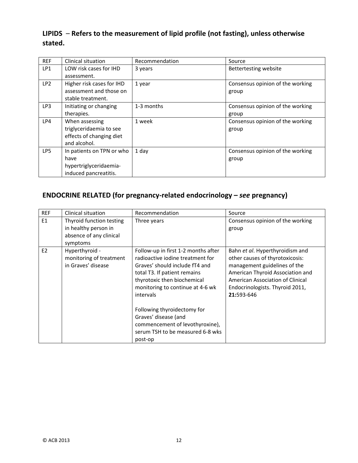## **LIPIDS** – **Refers to the measurement of lipid profile (not fasting), unless otherwise stated.**

| <b>REF</b>      | <b>Clinical situation</b> | Recommendation | Source                           |
|-----------------|---------------------------|----------------|----------------------------------|
| LP1             | LOW risk cases for IHD    | 3 years        | Bettertesting website            |
|                 | assessment.               |                |                                  |
| LP <sub>2</sub> | Higher risk cases for IHD | 1 year         | Consensus opinion of the working |
|                 | assessment and those on   |                | group                            |
|                 | stable treatment.         |                |                                  |
| LP3             | Initiating or changing    | 1-3 months     | Consensus opinion of the working |
|                 | therapies.                |                | group                            |
| LP4             | When assessing            | 1 week         | Consensus opinion of the working |
|                 | triglyceridaemia to see   |                | group                            |
|                 | effects of changing diet  |                |                                  |
|                 | and alcohol.              |                |                                  |
| LP <sub>5</sub> | In patients on TPN or who | 1 day          | Consensus opinion of the working |
|                 | have                      |                | group                            |
|                 | hypertriglyceridaemia-    |                |                                  |
|                 | induced pancreatitis.     |                |                                  |

## **ENDOCRINE RELATED (for pregnancy‐related endocrinology –** *see* **pregnancy)**

| <b>REF</b>     | <b>Clinical situation</b>                                                               | Recommendation                                                                                                                                                                                                                                                                                                                                                     | Source                                                                                                                                                                                                                      |
|----------------|-----------------------------------------------------------------------------------------|--------------------------------------------------------------------------------------------------------------------------------------------------------------------------------------------------------------------------------------------------------------------------------------------------------------------------------------------------------------------|-----------------------------------------------------------------------------------------------------------------------------------------------------------------------------------------------------------------------------|
| E1             | Thyroid function testing<br>in healthy person in<br>absence of any clinical<br>symptoms | Three years                                                                                                                                                                                                                                                                                                                                                        | Consensus opinion of the working<br>group                                                                                                                                                                                   |
| E <sub>2</sub> | Hyperthyroid -<br>monitoring of treatment<br>in Graves' disease                         | Follow-up in first 1-2 months after<br>radioactive jodine treatment for<br>Graves' should include fT4 and<br>total T3. If patient remains<br>thyrotoxic then biochemical<br>monitoring to continue at 4-6 wk<br>intervals<br>Following thyroidectomy for<br>Graves' disease (and<br>commencement of levothyroxine),<br>serum TSH to be measured 6-8 wks<br>post-op | Bahn et al. Hyperthyroidism and<br>other causes of thyrotoxicosis:<br>management guidelines of the<br>American Thyroid Association and<br>American Association of Clinical<br>Endocrinologists. Thyroid 2011,<br>21:593-646 |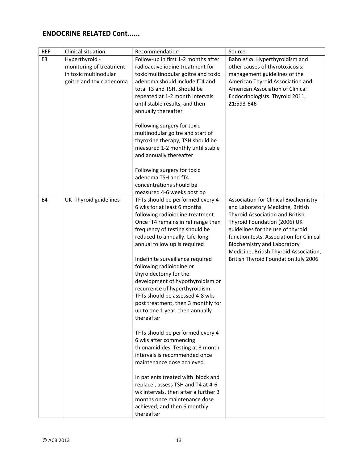| <b>REF</b> | Clinical situation       | Recommendation                                               | Source                                      |
|------------|--------------------------|--------------------------------------------------------------|---------------------------------------------|
| E3         | Hyperthyroid -           | Follow-up in first 1-2 months after                          | Bahn et al. Hyperthyroidism and             |
|            | monitoring of treatment  | radioactive iodine treatment for                             | other causes of thyrotoxicosis:             |
|            | in toxic multinodular    | toxic multinodular goitre and toxic                          | management guidelines of the                |
|            | goitre and toxic adenoma | adenoma should include fT4 and                               | American Thyroid Association and            |
|            |                          | total T3 and TSH. Should be                                  | American Association of Clinical            |
|            |                          | repeated at 1-2 month intervals                              | Endocrinologists. Thyroid 2011,             |
|            |                          | until stable results, and then                               | 21:593-646                                  |
|            |                          | annually thereafter                                          |                                             |
|            |                          | Following surgery for toxic                                  |                                             |
|            |                          | multinodular goitre and start of                             |                                             |
|            |                          | thyroxine therapy, TSH should be                             |                                             |
|            |                          | measured 1-2 monthly until stable                            |                                             |
|            |                          | and annually thereafter                                      |                                             |
|            |                          |                                                              |                                             |
|            |                          | Following surgery for toxic                                  |                                             |
|            |                          | adenoma TSH and fT4                                          |                                             |
|            |                          | concentrations should be                                     |                                             |
|            |                          | measured 4-6 weeks post op                                   |                                             |
| E4         | UK Thyroid guidelines    | TFTs should be performed every 4-                            | Association for Clinical Biochemistry       |
|            |                          | 6 wks for at least 6 months                                  | and Laboratory Medicine, British            |
|            |                          | following radioiodine treatment.                             | Thyroid Association and British             |
|            |                          | Once fT4 remains in ref range then                           | Thyroid Foundation (2006) UK                |
|            |                          | frequency of testing should be                               | guidelines for the use of thyroid           |
|            |                          | reduced to annually. Life-long                               | function tests. Association for Clinical    |
|            |                          | annual follow up is required                                 | Biochemistry and Laboratory                 |
|            |                          |                                                              | Medicine, British Thyroid Association,      |
|            |                          | Indefinite surveillance required<br>following radioiodine or | <b>British Thyroid Foundation July 2006</b> |
|            |                          | thyroidectomy for the                                        |                                             |
|            |                          | development of hypothyroidism or                             |                                             |
|            |                          | recurrence of hyperthyroidism.                               |                                             |
|            |                          | TFTs should be assessed 4-8 wks                              |                                             |
|            |                          | post treatment, then 3 monthly for                           |                                             |
|            |                          | up to one 1 year, then annually                              |                                             |
|            |                          | thereafter                                                   |                                             |
|            |                          |                                                              |                                             |
|            |                          | TFTs should be performed every 4-                            |                                             |
|            |                          | 6 wks after commencing                                       |                                             |
|            |                          | thionamidides. Testing at 3 month                            |                                             |
|            |                          | intervals is recommended once                                |                                             |
|            |                          | maintenance dose achieved                                    |                                             |
|            |                          | In patients treated with 'block and                          |                                             |
|            |                          | replace', assess TSH and T4 at 4-6                           |                                             |
|            |                          | wk intervals, then after a further 3                         |                                             |
|            |                          | months once maintenance dose                                 |                                             |
|            |                          | achieved, and then 6 monthly                                 |                                             |
|            |                          | thereafter                                                   |                                             |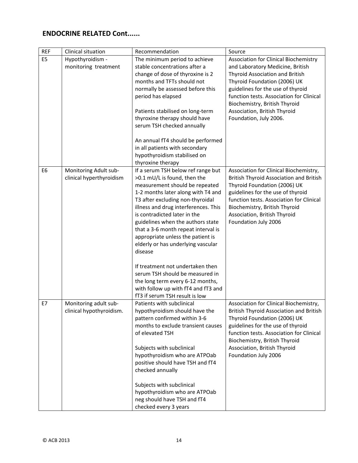| <b>REF</b>     | Clinical situation                                | Recommendation                                                                                                                                                                                                                                                                                                                                                                                                                                                                                                                                                                                               | Source                                                                                                                                                                                                                                                                                                                   |
|----------------|---------------------------------------------------|--------------------------------------------------------------------------------------------------------------------------------------------------------------------------------------------------------------------------------------------------------------------------------------------------------------------------------------------------------------------------------------------------------------------------------------------------------------------------------------------------------------------------------------------------------------------------------------------------------------|--------------------------------------------------------------------------------------------------------------------------------------------------------------------------------------------------------------------------------------------------------------------------------------------------------------------------|
| E <sub>5</sub> | Hypothyroidism -<br>monitoring treatment          | The minimum period to achieve<br>stable concentrations after a<br>change of dose of thyroxine is 2<br>months and TFTs should not<br>normally be assessed before this<br>period has elapsed<br>Patients stabilised on long-term<br>thyroxine therapy should have<br>serum TSH checked annually<br>An annual fT4 should be performed<br>in all patients with secondary<br>hypothyroidism stabilised on<br>thyroxine therapy                                                                                                                                                                                    | Association for Clinical Biochemistry<br>and Laboratory Medicine, British<br>Thyroid Association and British<br>Thyroid Foundation (2006) UK<br>guidelines for the use of thyroid<br>function tests. Association for Clinical<br>Biochemistry, British Thyroid<br>Association, British Thyroid<br>Foundation, July 2006. |
| E <sub>6</sub> | Monitoring Adult sub-<br>clinical hyperthyroidism | If a serum TSH below ref range but<br>>0.1 mU/L is found, then the<br>measurement should be repeated<br>1-2 months later along with T4 and<br>T3 after excluding non-thyroidal<br>illness and drug interferences. This<br>is contradicted later in the<br>guidelines when the authors state<br>that a 3-6 month repeat interval is<br>appropriate unless the patient is<br>elderly or has underlying vascular<br>disease<br>If treatment not undertaken then<br>serum TSH should be measured in<br>the long term every 6-12 months,<br>with follow up with fT4 and fT3 and<br>fT3 if serum TSH result is low | Association for Clinical Biochemistry,<br><b>British Thyroid Association and British</b><br>Thyroid Foundation (2006) UK<br>guidelines for the use of thyroid<br>function tests. Association for Clinical<br>Biochemistry, British Thyroid<br>Association, British Thyroid<br>Foundation July 2006                       |
| E7             | Monitoring adult sub-<br>clinical hypothyroidism. | Patients with subclinical<br>hypothyroidism should have the<br>pattern confirmed within 3-6<br>months to exclude transient causes<br>of elevated TSH<br>Subjects with subclinical<br>hypothyroidism who are ATPOab<br>positive should have TSH and fT4<br>checked annually<br>Subjects with subclinical<br>hypothyroidism who are ATPOab<br>neg should have TSH and fT4<br>checked every 3 years                                                                                                                                                                                                             | Association for Clinical Biochemistry,<br><b>British Thyroid Association and British</b><br>Thyroid Foundation (2006) UK<br>guidelines for the use of thyroid<br>function tests. Association for Clinical<br>Biochemistry, British Thyroid<br>Association, British Thyroid<br>Foundation July 2006                       |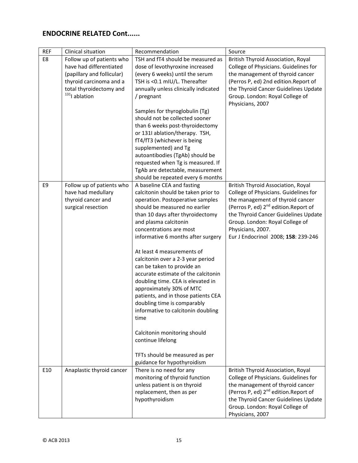| <b>REF</b> | Clinical situation                          | Recommendation                                                        | Source                                              |
|------------|---------------------------------------------|-----------------------------------------------------------------------|-----------------------------------------------------|
| E8         | Follow up of patients who                   | TSH and fT4 should be measured as                                     | <b>British Thyroid Association, Royal</b>           |
|            | have had differentiated                     | dose of levothyroxine increased                                       | College of Physicians. Guidelines for               |
|            | (papillary and follicular)                  | (every 6 weeks) until the serum                                       | the management of thyroid cancer                    |
|            | thyroid carcinoma and a                     | TSH is <0.1 mIU/L. Thereafter                                         | (Perros P, ed) 2nd edition.Report of                |
|            | total thyroidectomy and<br>$131$ ] ablation | annually unless clinically indicated                                  | the Thyroid Cancer Guidelines Update                |
|            |                                             | / pregnant                                                            | Group. London: Royal College of<br>Physicians, 2007 |
|            |                                             | Samples for thyroglobulin (Tg)                                        |                                                     |
|            |                                             | should not be collected sooner                                        |                                                     |
|            |                                             | than 6 weeks post-thyroidectomy                                       |                                                     |
|            |                                             | or 131I ablation/therapy. TSH,                                        |                                                     |
|            |                                             | fT4/fT3 (whichever is being                                           |                                                     |
|            |                                             | supplemented) and Tg                                                  |                                                     |
|            |                                             | autoantibodies (TgAb) should be                                       |                                                     |
|            |                                             | requested when Tg is measured. If                                     |                                                     |
|            |                                             | TgAb are detectable, measurement<br>should be repeated every 6 months |                                                     |
| E9         | Follow up of patients who                   | A baseline CEA and fasting                                            | <b>British Thyroid Association, Royal</b>           |
|            | have had medullary                          | calcitonin should be taken prior to                                   | College of Physicians. Guidelines for               |
|            | thyroid cancer and                          | operation. Postoperative samples                                      | the management of thyroid cancer                    |
|            | surgical resection                          | should be measured no earlier                                         | (Perros P, ed) 2 <sup>nd</sup> edition.Report of    |
|            |                                             | than 10 days after thyroidectomy                                      | the Thyroid Cancer Guidelines Update                |
|            |                                             | and plasma calcitonin                                                 | Group. London: Royal College of                     |
|            |                                             | concentrations are most                                               | Physicians, 2007.                                   |
|            |                                             | informative 6 months after surgery                                    | Eur J Endocrinol 2008; 158: 239-246                 |
|            |                                             | At least 4 measurements of                                            |                                                     |
|            |                                             | calcitonin over a 2-3 year period                                     |                                                     |
|            |                                             | can be taken to provide an                                            |                                                     |
|            |                                             | accurate estimate of the calcitonin                                   |                                                     |
|            |                                             | doubling time. CEA is elevated in                                     |                                                     |
|            |                                             | approximately 30% of MTC                                              |                                                     |
|            |                                             | patients, and in those patients CEA<br>doubling time is comparably    |                                                     |
|            |                                             | informative to calcitonin doubling                                    |                                                     |
|            |                                             | time                                                                  |                                                     |
|            |                                             |                                                                       |                                                     |
|            |                                             | Calcitonin monitoring should                                          |                                                     |
|            |                                             | continue lifelong                                                     |                                                     |
|            |                                             | TFTs should be measured as per                                        |                                                     |
|            |                                             | guidance for hypothyroidism                                           |                                                     |
| E10        | Anaplastic thyroid cancer                   | There is no need for any                                              | <b>British Thyroid Association, Royal</b>           |
|            |                                             | monitoring of thyroid function                                        | College of Physicians. Guidelines for               |
|            |                                             | unless patient is on thyroid                                          | the management of thyroid cancer                    |
|            |                                             | replacement, then as per                                              | (Perros P, ed) 2 <sup>nd</sup> edition.Report of    |
|            |                                             | hypothyroidism                                                        | the Thyroid Cancer Guidelines Update                |
|            |                                             |                                                                       | Group. London: Royal College of                     |
|            |                                             |                                                                       | Physicians, 2007                                    |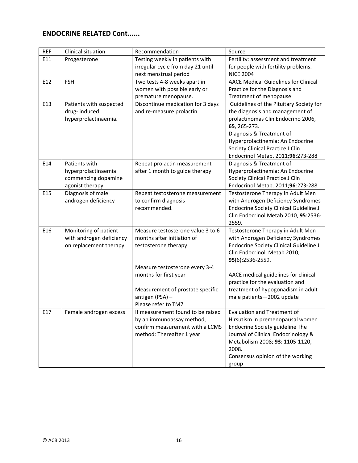| <b>REF</b> | Clinical situation       | Recommendation                    | Source                                        |
|------------|--------------------------|-----------------------------------|-----------------------------------------------|
| E11        | Progesterone             | Testing weekly in patients with   | Fertility: assessment and treatment           |
|            |                          | irregular cycle from day 21 until | for people with fertility problems.           |
|            |                          | next menstrual period             | <b>NICE 2004</b>                              |
| E12        | FSH.                     | Two tests 4-8 weeks apart in      | <b>AACE Medical Guidelines for Clinical</b>   |
|            |                          | women with possible early or      | Practice for the Diagnosis and                |
|            |                          | premature menopause.              | Treatment of menopause                        |
| E13        | Patients with suspected  | Discontinue medication for 3 days | Guidelines of the Pituitary Society for       |
|            | drug-induced             | and re-measure prolactin          | the diagnosis and management of               |
|            | hyperprolactinaemia.     |                                   | prolactinomas Clin Endocrino 2006,            |
|            |                          |                                   | 65, 265-273.                                  |
|            |                          |                                   | Diagnosis & Treatment of                      |
|            |                          |                                   | Hyperprolactinemia: An Endocrine              |
|            |                          |                                   | Society Clinical Practice J Clin              |
|            |                          |                                   | Endocrinol Metab. 2011;96:273-288             |
| E14        | Patients with            | Repeat prolactin measurement      | Diagnosis & Treatment of                      |
|            | hyperprolactinaemia      | after 1 month to guide therapy    | Hyperprolactinemia: An Endocrine              |
|            | commencing dopamine      |                                   | Society Clinical Practice J Clin              |
|            | agonist therapy          |                                   | Endocrinol Metab. 2011;96:273-288             |
| E15        | Diagnosis of male        | Repeat testosterone measurement   | Testosterone Therapy in Adult Men             |
|            | androgen deficiency      | to confirm diagnosis              | with Androgen Deficiency Syndromes            |
|            |                          | recommended.                      | <b>Endocrine Society Clinical Guideline J</b> |
|            |                          |                                   | Clin Endocrinol Metab 2010, 95:2536-          |
|            |                          |                                   | 2559.                                         |
| E16        | Monitoring of patient    | Measure testosterone value 3 to 6 | Testosterone Therapy in Adult Men             |
|            | with androgen deficiency | months after initiation of        | with Androgen Deficiency Syndromes            |
|            | on replacement therapy   | testosterone therapy              | <b>Endocrine Society Clinical Guideline J</b> |
|            |                          |                                   | Clin Endocrinol Metab 2010,                   |
|            |                          |                                   | 95(6):2536-2559.                              |
|            |                          | Measure testosterone every 3-4    |                                               |
|            |                          | months for first year             | AACE medical guidelines for clinical          |
|            |                          |                                   | practice for the evaluation and               |
|            |                          | Measurement of prostate specific  | treatment of hypogonadism in adult            |
|            |                          | antigen (PSA) -                   | male patients-2002 update                     |
|            |                          | Please refer to TM7               |                                               |
| E17        | Female androgen excess   | If measurement found to be raised | Evaluation and Treatment of                   |
|            |                          | by an immunoassay method,         | Hirsutism in premenopausal women              |
|            |                          | confirm measurement with a LCMS   | Endocrine Society guideline The               |
|            |                          | method: Thereafter 1 year         | Journal of Clinical Endocrinology &           |
|            |                          |                                   | Metabolism 2008; 93: 1105-1120,               |
|            |                          |                                   | 2008.                                         |
|            |                          |                                   | Consensus opinion of the working              |
|            |                          |                                   | group                                         |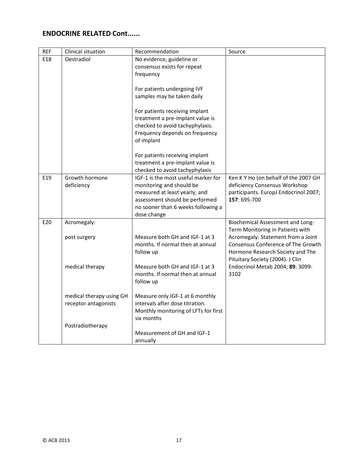| <b>REF</b> | Clinical situation                               | Recommendation                                                                                                                                                                          | Source                                                                                                                                           |
|------------|--------------------------------------------------|-----------------------------------------------------------------------------------------------------------------------------------------------------------------------------------------|--------------------------------------------------------------------------------------------------------------------------------------------------|
| E18        | Oestradiol                                       | No evidence, guideline or<br>consensus exists for repeat<br>frequency                                                                                                                   |                                                                                                                                                  |
|            |                                                  | For patients undergoing IVF<br>samples may be taken daily                                                                                                                               |                                                                                                                                                  |
|            |                                                  | For patients receiving implant<br>treatment a pre-implant value is<br>checked to avoid tachyphylaxis.<br>Frequency depends on frequency<br>of implant                                   |                                                                                                                                                  |
|            |                                                  | For patients receiving implant<br>treatment a pre-implant value is<br>checked to avoid tachyphylaxis                                                                                    |                                                                                                                                                  |
| E19        | Growth hormone<br>deficiency                     | IGF-1 is the most useful marker for<br>monitoring and should be<br>measured at least yearly, and<br>assessment should be performed<br>no sooner than 6 weeks following a<br>dose change | Ken K Y Ho (on behalf of the 2007 GH<br>deficiency Consensus Workshop<br>participants. EuropJ Endocrinol 2007;<br>157: 695-700                   |
| E20        | Acromegaly:                                      |                                                                                                                                                                                         | Biochemical Assessment and Long-<br>Term Monitoring in Patients with                                                                             |
|            | post surgery                                     | Measure both GH and IGF-1 at 3<br>months. If normal then at annual<br>follow up                                                                                                         | Acromegaly: Statement from a Joint<br>Consensus Conference of The Growth<br>Hormone Research Society and The<br>Pituitary Society (2004). J Clin |
|            | medical therapy                                  | Measure both GH and IGF-1 at 3<br>months. If normal then at annual<br>follow up                                                                                                         | Endocrinol Metab 2004; 89: 3099-<br>3102                                                                                                         |
|            | medical therapy using GH<br>receptor antagonists | Measure only IGF-1 at 6 monthly<br>intervals after dose titration.<br>Monthly monitoring of LFTs for first<br>six months                                                                |                                                                                                                                                  |
|            | Postradiotherapy                                 | Measurement of GH and IGF-1<br>annually                                                                                                                                                 |                                                                                                                                                  |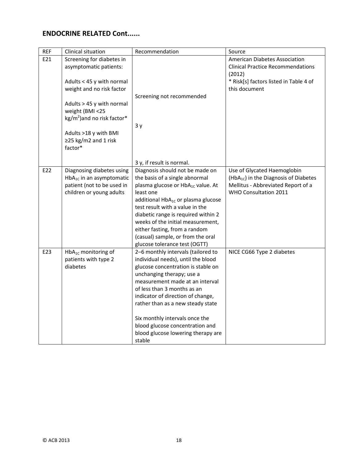| <b>REF</b> | Clinical situation                                                                                                                                                                                                                                                       | Recommendation                                                                                                                                                                                                                                                                                                                                                                                               | Source                                                                                                                                          |
|------------|--------------------------------------------------------------------------------------------------------------------------------------------------------------------------------------------------------------------------------------------------------------------------|--------------------------------------------------------------------------------------------------------------------------------------------------------------------------------------------------------------------------------------------------------------------------------------------------------------------------------------------------------------------------------------------------------------|-------------------------------------------------------------------------------------------------------------------------------------------------|
| E21        | Screening for diabetes in<br>asymptomatic patients:<br>Adults < 45 y with normal<br>weight and no risk factor<br>Adults > 45 y with normal<br>weight (BMI <25<br>$\text{kg/m}^2$ ) and no risk factor*<br>Adults >18 y with BMI<br>$\geq$ 25 kg/m2 and 1 risk<br>factor* | Screening not recommended<br>3y                                                                                                                                                                                                                                                                                                                                                                              | American Diabetes Association<br><b>Clinical Practice Recommendations</b><br>(2012)<br>* Risk[s] factors listed in Table 4 of<br>this document  |
|            |                                                                                                                                                                                                                                                                          | 3 y, if result is normal.                                                                                                                                                                                                                                                                                                                                                                                    |                                                                                                                                                 |
| E22        | Diagnosing diabetes using<br>$HbA_{1c}$ in an asymptomatic<br>patient (not to be used in<br>children or young adults                                                                                                                                                     | Diagnosis should not be made on<br>the basis of a single abnormal<br>plasma glucose or HbA <sub>1C</sub> value. At<br>least one<br>additional HbA <sub>1C</sub> or plasma glucose<br>test result with a value in the<br>diabetic range is required within 2<br>weeks of the initial measurement,<br>either fasting, from a random<br>(casual) sample, or from the oral<br>glucose tolerance test (OGTT)      | Use of Glycated Haemoglobin<br>(HbA <sub>1c</sub> ) in the Diagnosis of Diabetes<br>Mellitus - Abbreviated Report of a<br>WHO Consultation 2011 |
| E23        | $HbA_{1C}$ monitoring of<br>patients with type 2<br>diabetes                                                                                                                                                                                                             | 2-6 monthly intervals (tailored to<br>individual needs), until the blood<br>glucose concentration is stable on<br>unchanging therapy; use a<br>measurement made at an interval<br>of less than 3 months as an<br>indicator of direction of change,<br>rather than as a new steady state<br>Six monthly intervals once the<br>blood glucose concentration and<br>blood glucose lowering therapy are<br>stable | NICE CG66 Type 2 diabetes                                                                                                                       |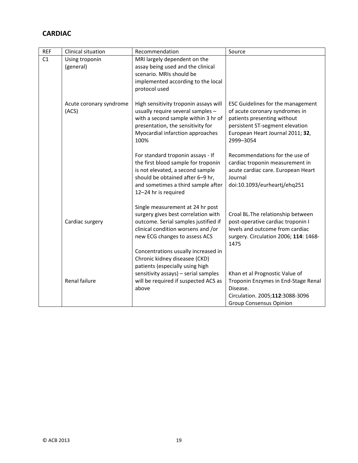## **CARDIAC**

| <b>REF</b> | Clinical situation               | Recommendation                                                                                                                                                                                                 | Source                                                                                                                                                                                        |
|------------|----------------------------------|----------------------------------------------------------------------------------------------------------------------------------------------------------------------------------------------------------------|-----------------------------------------------------------------------------------------------------------------------------------------------------------------------------------------------|
| C1         | Using troponin<br>(general)      | MRI largely dependent on the<br>assay being used and the clinical<br>scenario. MRIs should be<br>implemented according to the local<br>protocol used                                                           |                                                                                                                                                                                               |
|            | Acute coronary syndrome<br>(ACS) | High sensitivity troponin assays will<br>usually require several samples -<br>with a second sample within 3 hr of<br>presentation, the sensitivity for<br>Myocardial infarction approaches<br>100%             | <b>ESC Guidelines for the management</b><br>of acute coronary syndromes in<br>patients presenting without<br>persistent ST-segment elevation<br>European Heart Journal 2011; 32,<br>2999-3054 |
|            |                                  | For standard troponin assays - If<br>the first blood sample for troponin<br>is not elevated, a second sample<br>should be obtained after 6-9 hr,<br>and sometimes a third sample after<br>12-24 hr is required | Recommendations for the use of<br>cardiac troponin measurement in<br>acute cardiac care. European Heart<br>Journal<br>doi:10.1093/eurheartj/ehq251                                            |
|            | Cardiac surgery                  | Single measurement at 24 hr post<br>surgery gives best correlation with<br>outcome. Serial samples justified if<br>clinical condition worsens and /or<br>new ECG changes to assess ACS                         | Croal BL. The relationship between<br>post-operative cardiac troponin I<br>levels and outcome from cardiac<br>surgery. Circulation 2006; 114: 1468-<br>1475                                   |
|            | Renal failure                    | Concentrations usually increased in<br>Chronic kidney diseasee (CKD)<br>patients (especially using high<br>sensitivity assays) - serial samples<br>will be required if suspected ACS as<br>above               | Khan et al Prognostic Value of<br>Troponin Enzymes in End-Stage Renal<br>Disease.<br>Circulation. 2005;112:3088-3096<br><b>Group Consensus Opinion</b>                                        |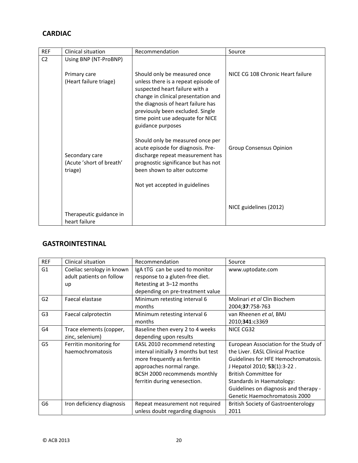## **CARDIAC**

| <b>REF</b>     | Clinical situation                                    | Recommendation                                                                                                                                                                                                                                                                  | Source                            |
|----------------|-------------------------------------------------------|---------------------------------------------------------------------------------------------------------------------------------------------------------------------------------------------------------------------------------------------------------------------------------|-----------------------------------|
| C <sub>2</sub> | Using BNP (NT-ProBNP)                                 |                                                                                                                                                                                                                                                                                 |                                   |
|                | Primary care<br>(Heart failure triage)                | Should only be measured once<br>unless there is a repeat episode of<br>suspected heart failure with a<br>change in clinical presentation and<br>the diagnosis of heart failure has<br>previously been excluded. Single<br>time point use adequate for NICE<br>guidance purposes | NICE CG 108 Chronic Heart failure |
|                | Secondary care<br>(Acute 'short of breath'<br>triage) | Should only be measured once per<br>acute episode for diagnosis. Pre-<br>discharge repeat measurement has<br>prognostic significance but has not<br>been shown to alter outcome<br>Not yet accepted in guidelines                                                               | <b>Group Consensus Opinion</b>    |
|                | Therapeutic guidance in<br>heart failure              |                                                                                                                                                                                                                                                                                 | NICE guidelines (2012)            |

#### **GASTROINTESTINAL**

| <b>REF</b>     | Clinical situation                                          | Recommendation                                                                                                                                                                                   | Source                                                                                                                                                                                                                                                                                  |
|----------------|-------------------------------------------------------------|--------------------------------------------------------------------------------------------------------------------------------------------------------------------------------------------------|-----------------------------------------------------------------------------------------------------------------------------------------------------------------------------------------------------------------------------------------------------------------------------------------|
| G1             | Coeliac serology in known<br>adult patients on follow<br>up | IgA tTG can be used to monitor<br>response to a gluten-free diet.<br>Retesting at 3–12 months<br>depending on pre-treatment value                                                                | www.uptodate.com                                                                                                                                                                                                                                                                        |
| G <sub>2</sub> | Faecal elastase                                             | Minimum retesting interval 6<br>months                                                                                                                                                           | Molinari et al Clin Biochem<br>2004;37:758-763                                                                                                                                                                                                                                          |
| G <sub>3</sub> | Faecal calprotectin                                         | Minimum retesting interval 6<br>months                                                                                                                                                           | van Rheenen et al, BMJ<br>2010;341:c3369                                                                                                                                                                                                                                                |
| G4             | Trace elements (copper,<br>zinc, selenium)                  | Baseline then every 2 to 4 weeks<br>depending upon results                                                                                                                                       | NICE CG32                                                                                                                                                                                                                                                                               |
| G <sub>5</sub> | Ferritin monitoring for<br>haemochromatosis                 | EASL 2010 recommend retesting<br>interval initially 3 months but test<br>more frequently as ferritin<br>approaches normal range.<br>BCSH 2000 recommends monthly<br>ferritin during venesection. | European Association for the Study of<br>the Liver. EASL Clinical Practice<br>Guidelines for HFE Hemochromatosis.<br>J Hepatol 2010; 53(1):3-22.<br><b>British Committee for</b><br>Standards in Haematology:<br>Guidelines on diagnosis and therapy -<br>Genetic Haemochromatosis 2000 |
| G <sub>6</sub> | Iron deficiency diagnosis                                   | Repeat measurement not required<br>unless doubt regarding diagnosis                                                                                                                              | <b>British Society of Gastroenterology</b><br>2011                                                                                                                                                                                                                                      |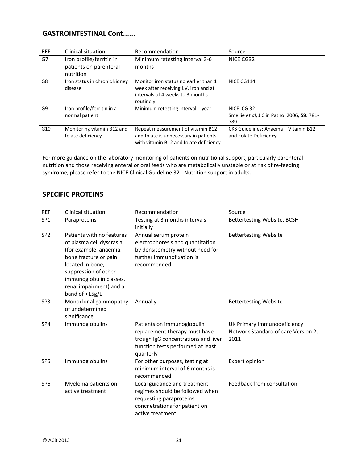#### **GASTROINTESTINAL Cont......**

| <b>REF</b> | Clinical situation                                              | Recommendation                                                                                                                   | Source                                                           |
|------------|-----------------------------------------------------------------|----------------------------------------------------------------------------------------------------------------------------------|------------------------------------------------------------------|
| G7         | Iron profile/ferritin in<br>patients on parenteral<br>nutrition | Minimum retesting interval 3-6<br>months                                                                                         | NICE CG32                                                        |
| G8         | Iron status in chronic kidney<br>disease                        | Monitor iron status no earlier than 1<br>week after receiving I.V. iron and at<br>intervals of 4 weeks to 3 months<br>routinely. | NICE CG114                                                       |
| G9         | Iron profile/ferritin in a<br>normal patient                    | Minimum retesting interval 1 year                                                                                                | NICE CG 32<br>Smellie et al, J Clin Pathol 2006; 59: 781-<br>789 |
| G10        | Monitoring vitamin B12 and<br>folate deficiency                 | Repeat measurement of vitamin B12<br>and folate is unnecessary in patients<br>with vitamin B12 and folate deficiency             | CKS Guidelines: Anaema - Vitamin B12<br>and Folate Deficiency    |

For more guidance on the laboratory monitoring of patients on nutritional support, particularly parenteral nutrition and those receiving enteral or oral feeds who are metabolically unstable or at risk of re‐feeding syndrome, please refer to the NICE Clinical Guideline 32 - Nutrition support in adults.

#### **SPECIFIC PROTEINS**

| <b>REF</b>      | Clinical situation                                                                                                                                                                                                           | Recommendation                                                                                                                                       | Source                                                                     |
|-----------------|------------------------------------------------------------------------------------------------------------------------------------------------------------------------------------------------------------------------------|------------------------------------------------------------------------------------------------------------------------------------------------------|----------------------------------------------------------------------------|
| SP <sub>1</sub> | Paraproteins                                                                                                                                                                                                                 | Testing at 3 months intervals<br>initially                                                                                                           | Bettertesting Website, BCSH                                                |
| SP <sub>2</sub> | Patients with no features<br>of plasma cell dyscrasia<br>(for example, anaemia,<br>bone fracture or pain<br>located in bone,<br>suppression of other<br>immunoglobulin classes,<br>renal impairment) and a<br>band of <15g/L | Annual serum protein<br>electrophoresis and quantitation<br>by densitometry without need for<br>further immunofixation is<br>recommended             | <b>Bettertesting Website</b>                                               |
| SP3             | Monoclonal gammopathy<br>of undetermined<br>significance                                                                                                                                                                     | Annually                                                                                                                                             | <b>Bettertesting Website</b>                                               |
| SP4             | Immunoglobulins                                                                                                                                                                                                              | Patients on immunoglobulin<br>replacement therapy must have<br>trough IgG concentrations and liver<br>function tests performed at least<br>quarterly | UK Primary Immunodeficiency<br>Network Standard of care Version 2,<br>2011 |
| SP <sub>5</sub> | Immunoglobulins                                                                                                                                                                                                              | For other purposes, testing at<br>minimum interval of 6 months is<br>recommended                                                                     | Expert opinion                                                             |
| SP <sub>6</sub> | Myeloma patients on<br>active treatment                                                                                                                                                                                      | Local guidance and treatment<br>regimes should be followed when<br>requesting paraproteins<br>concnetrations for patient on<br>active treatment      | Feedback from consultation                                                 |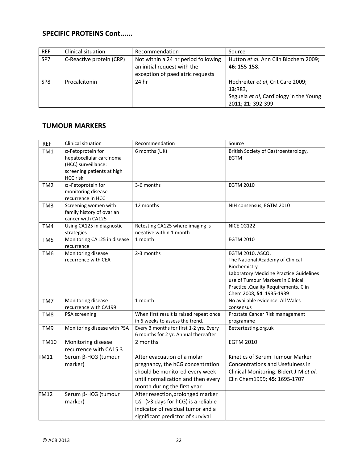## **SPECIFIC PROTEINS Cont......**

| <b>REF</b>      | Clinical situation       | Recommendation                                                     | Source                                               |
|-----------------|--------------------------|--------------------------------------------------------------------|------------------------------------------------------|
| SP7             | C-Reactive protein (CRP) | Not within a 24 hr period following<br>an initial request with the | Hutton et al. Ann Clin Biochem 2009;<br>46: 155-158. |
|                 |                          | exception of paediatric requests                                   |                                                      |
| SP <sub>8</sub> | Procalcitonin            | 24 hr                                                              | Hochreiter et al, Crit Care 2009;                    |
|                 |                          |                                                                    | 13:R83                                               |
|                 |                          |                                                                    | Seguela et al, Cardiology in the Young               |
|                 |                          |                                                                    | 2011; 21: 392-399                                    |

#### **TUMOUR MARKERS**

| <b>REF</b>      | Clinical situation                                                                                                    | Recommendation                                                                                                                                                         | Source                                                                                                                                                                                                                    |
|-----------------|-----------------------------------------------------------------------------------------------------------------------|------------------------------------------------------------------------------------------------------------------------------------------------------------------------|---------------------------------------------------------------------------------------------------------------------------------------------------------------------------------------------------------------------------|
| TM1             | α-Fetoprotein for<br>hepatocellular carcinoma<br>(HCC) surveillance:<br>screening patients at high<br><b>HCC</b> risk | 6 months (UK)                                                                                                                                                          | British Society of Gastroenterology,<br><b>EGTM</b>                                                                                                                                                                       |
| TM <sub>2</sub> | $\alpha$ -Fetoprotein for<br>monitoring disease<br>recurrence in HCC                                                  | 3-6 months                                                                                                                                                             | <b>EGTM 2010</b>                                                                                                                                                                                                          |
| TM3             | Screening women with<br>family history of ovarian<br>cancer with CA125                                                | 12 months                                                                                                                                                              | NIH consensus, EGTM 2010                                                                                                                                                                                                  |
| TM4             | Using CA125 in diagnostic<br>strategies.                                                                              | Retesting CA125 where imaging is<br>negative within 1 month                                                                                                            | NICE CG122                                                                                                                                                                                                                |
| TM <sub>5</sub> | Monitoring CA125 in disease<br>recurrence                                                                             | 1 month                                                                                                                                                                | <b>EGTM 2010</b>                                                                                                                                                                                                          |
| TM <sub>6</sub> | Monitoring disease<br>recurrence with CEA                                                                             | 2-3 months                                                                                                                                                             | EGTM 2010, ASCO,<br>The National Academy of Clinical<br>Biochemistry<br>Laboratory Medicine Practice Guidelines<br>use of Tumour Markers in Clinical<br>Practice . Quality Requirements. Clin<br>Chem 2008; 54: 1935-1939 |
| TM7             | Monitoring disease<br>recurrence with CA199                                                                           | 1 month                                                                                                                                                                | No available evidence. All Wales<br>consensus                                                                                                                                                                             |
| TM <sub>8</sub> | PSA screening                                                                                                         | When first result is raised repeat once<br>in 6 weeks to assess the trend.                                                                                             | Prostate Cancer Risk management<br>programme                                                                                                                                                                              |
| TM9             | Monitoring disease with PSA                                                                                           | Every 3 months for first 1-2 yrs. Every<br>6 months for 2 yr. Annual thereafter                                                                                        | Bettertesting.org.uk                                                                                                                                                                                                      |
| <b>TM10</b>     | Monitoring disease<br>recurrence with CA15.3                                                                          | 2 months                                                                                                                                                               | <b>EGTM 2010</b>                                                                                                                                                                                                          |
| TM11            | Serum β-HCG (tumour<br>marker)                                                                                        | After evacuation of a molar<br>pregnancy, the hCG concentration<br>should be monitored every week<br>until normalization and then every<br>month during the first year | Kinetics of Serum Tumour Marker<br>Concentrations and Usefulness in<br>Clinical Monitoring. Bidert J-M et al.<br>Clin Chem1999; 45: 1695-1707                                                                             |
| TM12            | Serum β-HCG (tumour<br>marker)                                                                                        | After resection, prolonged marker<br>$t$ <sup>2</sup> (>3 days for hCG) is a reliable<br>indicator of residual tumor and a<br>significant predictor of survival        |                                                                                                                                                                                                                           |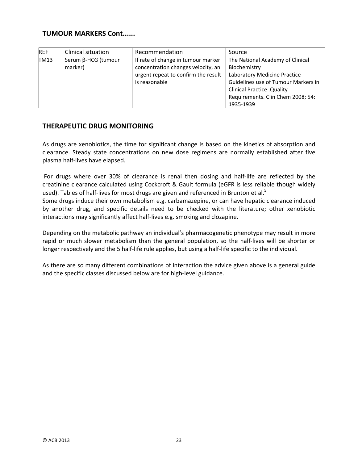#### **TUMOUR MARKERS Cont......**

| <b>REF</b> | Clinical situation             | Recommendation                                                                                                                   | Source                                                                                                                                                                                                          |
|------------|--------------------------------|----------------------------------------------------------------------------------------------------------------------------------|-----------------------------------------------------------------------------------------------------------------------------------------------------------------------------------------------------------------|
| TM13       | Serum β-HCG (tumour<br>marker) | If rate of change in tumour marker<br>concentration changes velocity, an<br>urgent repeat to confirm the result<br>is reasonable | The National Academy of Clinical<br>Biochemistry<br>Laboratory Medicine Practice<br>Guidelines use of Tumour Markers in<br><b>Clinical Practice . Quality</b><br>Requirements. Clin Chem 2008; 54:<br>1935-1939 |

#### **THERAPEUTIC DRUG MONITORING**

As drugs are xenobiotics, the time for significant change is based on the kinetics of absorption and clearance. Steady state concentrations on new dose regimens are normally established after five plasma half‐lives have elapsed.

For drugs where over 30% of clearance is renal then dosing and half-life are reflected by the creatinine clearance calculated using Cockcroft & Gault formula (eGFR is less reliable though widely used). Tables of half-lives for most drugs are given and referenced in Brunton et al.<sup>5</sup>

Some drugs induce their own metabolism e.g. carbamazepine, or can have hepatic clearance induced by another drug, and specific details need to be checked with the literature; other xenobiotic interactions may significantly affect half‐lives e.g. smoking and clozapine.

Depending on the metabolic pathway an individual's pharmacogenetic phenotype may result in more rapid or much slower metabolism than the general population, so the half-lives will be shorter or longer respectively and the 5 half‐life rule applies, but using a half‐life specific to the individual.

As there are so many different combinations of interaction the advice given above is a general guide and the specific classes discussed below are for high‐level guidance.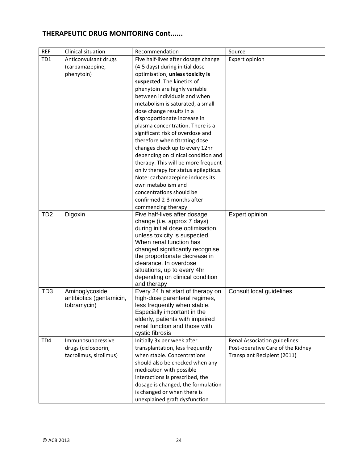## **THERAPEUTIC DRUG MONITORING Cont......**

| <b>REF</b>      | Clinical situation                      | Recommendation                                                   | Source                            |
|-----------------|-----------------------------------------|------------------------------------------------------------------|-----------------------------------|
| TD <sub>1</sub> | Anticonvulsant drugs                    | Five half-lives after dosage change                              | Expert opinion                    |
|                 | (carbamazepine,                         | (4-5 days) during initial dose                                   |                                   |
|                 | phenytoin)                              | optimisation, unless toxicity is                                 |                                   |
|                 |                                         | suspected. The kinetics of                                       |                                   |
|                 |                                         | phenytoin are highly variable                                    |                                   |
|                 |                                         | between individuals and when                                     |                                   |
|                 |                                         | metabolism is saturated, a small                                 |                                   |
|                 |                                         | dose change results in a                                         |                                   |
|                 |                                         | disproportionate increase in                                     |                                   |
|                 |                                         | plasma concentration. There is a                                 |                                   |
|                 |                                         | significant risk of overdose and                                 |                                   |
|                 |                                         | therefore when titrating dose                                    |                                   |
|                 |                                         | changes check up to every 12hr                                   |                                   |
|                 |                                         | depending on clinical condition and                              |                                   |
|                 |                                         | therapy. This will be more frequent                              |                                   |
|                 |                                         | on iv therapy for status epilepticus.                            |                                   |
|                 |                                         | Note: carbamazepine induces its                                  |                                   |
|                 |                                         | own metabolism and                                               |                                   |
|                 |                                         | concentrations should be                                         |                                   |
|                 |                                         | confirmed 2-3 months after                                       |                                   |
|                 |                                         | commencing therapy                                               |                                   |
| TD <sub>2</sub> | Digoxin                                 | Five half-lives after dosage                                     | Expert opinion                    |
|                 |                                         | change (i.e. approx 7 days)<br>during initial dose optimisation, |                                   |
|                 |                                         | unless toxicity is suspected.                                    |                                   |
|                 |                                         | When renal function has                                          |                                   |
|                 |                                         | changed significantly recognise                                  |                                   |
|                 |                                         | the proportionate decrease in                                    |                                   |
|                 |                                         | clearance. In overdose                                           |                                   |
|                 |                                         | situations, up to every 4hr                                      |                                   |
|                 |                                         | depending on clinical condition                                  |                                   |
|                 |                                         | and therapy                                                      |                                   |
| TD <sub>3</sub> | Aminoglycoside                          | Every 24 h at start of therapy on                                | Consult local guidelines          |
|                 | antibiotics (gentamicin,<br>tobramycin) | high-dose parenteral regimes,                                    |                                   |
|                 |                                         | less frequently when stable.<br>Especially important in the      |                                   |
|                 |                                         | elderly, patients with impaired                                  |                                   |
|                 |                                         | renal function and those with                                    |                                   |
|                 |                                         | cystic fibrosis                                                  |                                   |
| TD <sub>4</sub> | Immunosuppressive                       | Initially 3x per week after                                      | Renal Association guidelines:     |
|                 | drugs (ciclosporin,                     | transplantation, less frequently                                 | Post-operative Care of the Kidney |
|                 | tacrolimus, sirolimus)                  | when stable. Concentrations                                      | Transplant Recipient (2011)       |
|                 |                                         | should also be checked when any                                  |                                   |
|                 |                                         | medication with possible                                         |                                   |
|                 |                                         | interactions is prescribed, the                                  |                                   |
|                 |                                         | dosage is changed, the formulation                               |                                   |
|                 |                                         | is changed or when there is                                      |                                   |
|                 |                                         | unexplained graft dysfunction                                    |                                   |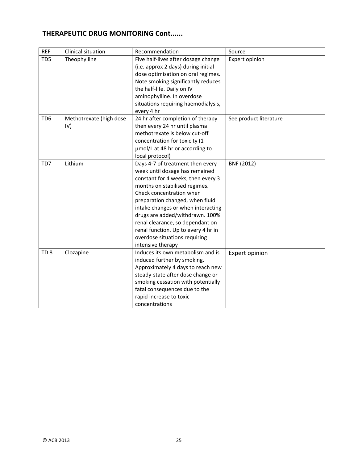## **THERAPEUTIC DRUG MONITORING Cont......**

| <b>REF</b>      | Clinical situation      | Recommendation                      | Source                 |
|-----------------|-------------------------|-------------------------------------|------------------------|
| TD <sub>5</sub> | Theophylline            | Five half-lives after dosage change | Expert opinion         |
|                 |                         | (i.e. approx 2 days) during initial |                        |
|                 |                         | dose optimisation on oral regimes.  |                        |
|                 |                         | Note smoking significantly reduces  |                        |
|                 |                         | the half-life. Daily on IV          |                        |
|                 |                         | aminophylline. In overdose          |                        |
|                 |                         | situations requiring haemodialysis, |                        |
|                 |                         | every 4 hr                          |                        |
| TD <sub>6</sub> | Methotrexate (high dose | 24 hr after completion of therapy   | See product literature |
|                 | IV)                     | then every 24 hr until plasma       |                        |
|                 |                         | methotrexate is below cut-off       |                        |
|                 |                         | concentration for toxicity (1       |                        |
|                 |                         | umol/L at 48 hr or according to     |                        |
|                 |                         | local protocol)                     |                        |
| TD7             | Lithium                 | Days 4-7 of treatment then every    | BNF (2012)             |
|                 |                         | week until dosage has remained      |                        |
|                 |                         | constant for 4 weeks, then every 3  |                        |
|                 |                         | months on stabilised regimes.       |                        |
|                 |                         | Check concentration when            |                        |
|                 |                         | preparation changed, when fluid     |                        |
|                 |                         | intake changes or when interacting  |                        |
|                 |                         | drugs are added/withdrawn. 100%     |                        |
|                 |                         | renal clearance, so dependant on    |                        |
|                 |                         | renal function. Up to every 4 hr in |                        |
|                 |                         | overdose situations requiring       |                        |
|                 |                         | intensive therapy                   |                        |
| TD <sub>8</sub> | Clozapine               | Induces its own metabolism and is   | Expert opinion         |
|                 |                         | induced further by smoking.         |                        |
|                 |                         | Approximately 4 days to reach new   |                        |
|                 |                         | steady-state after dose change or   |                        |
|                 |                         | smoking cessation with potentially  |                        |
|                 |                         | fatal consequences due to the       |                        |
|                 |                         | rapid increase to toxic             |                        |
|                 |                         | concentrations                      |                        |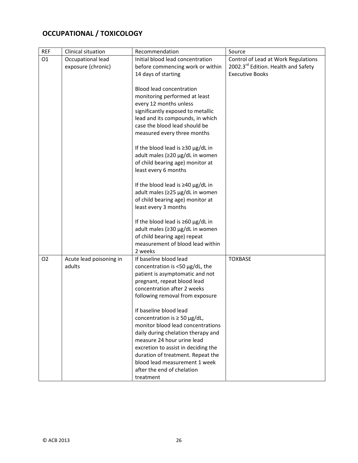# **OCCUPATIONAL / TOXICOLOGY**

| <b>REF</b>     | Clinical situation      | Recommendation                             | Source                              |
|----------------|-------------------------|--------------------------------------------|-------------------------------------|
| O <sub>1</sub> | Occupational lead       | Initial blood lead concentration           | Control of Lead at Work Regulations |
|                | exposure (chronic)      | before commencing work or within           | 2002.3rd Edition. Health and Safety |
|                |                         | 14 days of starting                        | <b>Executive Books</b>              |
|                |                         |                                            |                                     |
|                |                         | <b>Blood lead concentration</b>            |                                     |
|                |                         | monitoring performed at least              |                                     |
|                |                         | every 12 months unless                     |                                     |
|                |                         | significantly exposed to metallic          |                                     |
|                |                         | lead and its compounds, in which           |                                     |
|                |                         | case the blood lead should be              |                                     |
|                |                         | measured every three months                |                                     |
|                |                         | If the blood lead is $\geq$ 30 µg/dL in    |                                     |
|                |                         | adult males (≥20 µg/dL in women            |                                     |
|                |                         | of child bearing age) monitor at           |                                     |
|                |                         | least every 6 months                       |                                     |
|                |                         |                                            |                                     |
|                |                         | If the blood lead is $\geq$ 40 µg/dL in    |                                     |
|                |                         | adult males (≥25 µg/dL in women            |                                     |
|                |                         | of child bearing age) monitor at           |                                     |
|                |                         | least every 3 months                       |                                     |
|                |                         | If the blood lead is $\geq 60 \mu g/dL$ in |                                     |
|                |                         | adult males (≥30 µg/dL in women            |                                     |
|                |                         | of child bearing age) repeat               |                                     |
|                |                         | measurement of blood lead within           |                                     |
|                |                         | 2 weeks                                    |                                     |
| O <sub>2</sub> | Acute lead poisoning in | If baseline blood lead                     | <b>TOXBASE</b>                      |
|                | adults                  | concentration is <50 µg/dL, the            |                                     |
|                |                         | patient is asymptomatic and not            |                                     |
|                |                         | pregnant, repeat blood lead                |                                     |
|                |                         | concentration after 2 weeks                |                                     |
|                |                         | following removal from exposure            |                                     |
|                |                         | If baseline blood lead                     |                                     |
|                |                         | concentration is $\geq$ 50 µg/dL,          |                                     |
|                |                         | monitor blood lead concentrations          |                                     |
|                |                         | daily during chelation therapy and         |                                     |
|                |                         | measure 24 hour urine lead                 |                                     |
|                |                         | excretion to assist in deciding the        |                                     |
|                |                         | duration of treatment. Repeat the          |                                     |
|                |                         | blood lead measurement 1 week              |                                     |
|                |                         | after the end of chelation                 |                                     |
|                |                         | treatment                                  |                                     |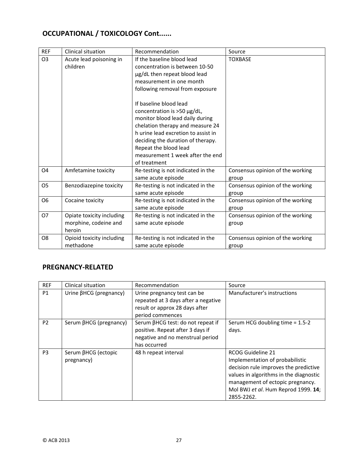## **OCCUPATIONAL / TOXICOLOGY Cont......**

| <b>REF</b>     | Clinical situation                                           | Recommendation                                                                                                                                                                                                                                                                        | Source                                    |
|----------------|--------------------------------------------------------------|---------------------------------------------------------------------------------------------------------------------------------------------------------------------------------------------------------------------------------------------------------------------------------------|-------------------------------------------|
| O <sub>3</sub> | Acute lead poisoning in<br>children                          | If the baseline blood lead<br>concentration is between 10-50<br>µg/dL then repeat blood lead<br>measurement in one month<br>following removal from exposure                                                                                                                           | <b>TOXBASE</b>                            |
|                |                                                              | If baseline blood lead<br>concentration is >50 µg/dL,<br>monitor blood lead daily during<br>chelation therapy and measure 24<br>h urine lead excretion to assist in<br>deciding the duration of therapy.<br>Repeat the blood lead<br>measurement 1 week after the end<br>of treatment |                                           |
| O <sub>4</sub> | Amfetamine toxicity                                          | Re-testing is not indicated in the<br>same acute episode                                                                                                                                                                                                                              | Consensus opinion of the working<br>group |
| O <sub>5</sub> | Benzodiazepine toxicity                                      | Re-testing is not indicated in the<br>same acute episode                                                                                                                                                                                                                              | Consensus opinion of the working<br>group |
| O <sub>6</sub> | Cocaine toxicity                                             | Re-testing is not indicated in the<br>same acute episode                                                                                                                                                                                                                              | Consensus opinion of the working<br>group |
| <b>O7</b>      | Opiate toxicity including<br>morphine, codeine and<br>heroin | Re-testing is not indicated in the<br>same acute episode                                                                                                                                                                                                                              | Consensus opinion of the working<br>group |
| O <sub>8</sub> | Opioid toxicity including<br>methadone                       | Re-testing is not indicated in the<br>same acute episode                                                                                                                                                                                                                              | Consensus opinion of the working<br>group |

#### **PREGNANCY‐RELATED**

| <b>REF</b>     | Clinical situation                | Recommendation                                                                                                            | Source                                                                                                                                                                                                                                  |
|----------------|-----------------------------------|---------------------------------------------------------------------------------------------------------------------------|-----------------------------------------------------------------------------------------------------------------------------------------------------------------------------------------------------------------------------------------|
| P1             | Urine $\beta$ HCG (pregnancy)     | Urine pregnancy test can be<br>repeated at 3 days after a negative<br>result or approx 28 days after<br>period commences  | Manufacturer's instructions                                                                                                                                                                                                             |
| P <sub>2</sub> | Serum βHCG (pregnancy)            | Serum βHCG test: do not repeat if<br>positive. Repeat after 3 days if<br>negative and no menstrual period<br>has occurred | Serum HCG doubling time = 1.5-2<br>days.                                                                                                                                                                                                |
| P <sub>3</sub> | Serum βHCG (ectopic<br>pregnancy) | 48 h repeat interval                                                                                                      | <b>RCOG Guideline 21</b><br>Implementation of probabilistic<br>decision rule improves the predictive<br>values in algorithms in the diagnostic<br>management of ectopic pregnancy.<br>Mol BWJ et al. Hum Reprod 1999. 14;<br>2855-2262. |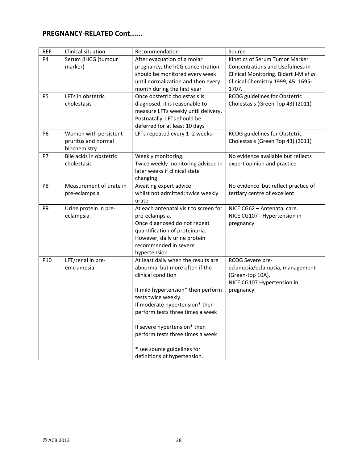## **PREGNANCY‐RELATED Cont......**

| <b>REF</b>     | Clinical situation                                            | Recommendation                                                                                                                                                                                                                                                                                                                                                    | Source                                                                                                                                                      |
|----------------|---------------------------------------------------------------|-------------------------------------------------------------------------------------------------------------------------------------------------------------------------------------------------------------------------------------------------------------------------------------------------------------------------------------------------------------------|-------------------------------------------------------------------------------------------------------------------------------------------------------------|
| P <sub>4</sub> | Serum βHCG (tumour<br>marker)                                 | After evacuation of a molar<br>pregnancy, the hCG concentration<br>should be monitored every week<br>until normalization and then every<br>month during the first year                                                                                                                                                                                            | Kinetics of Serum Tumor Marker<br>Concentrations and Usefulness in<br>Clinical Monitoring. Bidart J-M et al.<br>Clinical Chemistry 1999; 45: 1695-<br>1707. |
| P <sub>5</sub> | LFTs in obstetric<br>cholestasis                              | Once obstetric cholestasis is<br>diagnosed, it is reasonable to<br>measure LFTs weekly until delivery.<br>Postnatally, LFTs should be<br>deferred for at least 10 days                                                                                                                                                                                            | RCOG guidelines for Obstetric<br>Cholestasis (Green Top 43) (2011)                                                                                          |
| <b>P6</b>      | Women with persistent<br>pruritus and normal<br>biochemistry. | LFTs repeated every 1-2 weeks                                                                                                                                                                                                                                                                                                                                     | RCOG guidelines for Obstetric<br>Cholestasis (Green Top 43) (2011)                                                                                          |
| P7             | Bile acids in obstetric<br>cholestasis                        | Weekly monitoring.<br>Twice weekly monitoring advised in<br>later weeks if clinical state<br>changing                                                                                                                                                                                                                                                             | No evidence available but reflects<br>expert opinion and practice                                                                                           |
| P <sub>8</sub> | Measurement of urate in<br>pre-eclampsia                      | Awaiting expert advice<br>whilst not admitted: twice weekly<br>urate                                                                                                                                                                                                                                                                                              | No evidence but reflect practice of<br>tertiary centre of excellent                                                                                         |
| P <sub>9</sub> | Urine protein in pre-<br>eclampsia.                           | At each antenatal visit to screen for<br>pre-eclampsia.<br>Once diagnosed do not repeat<br>quantification of proteinuria.<br>However, daily urine protein<br>recommended in severe<br>hypertension                                                                                                                                                                | NICE CG62 - Antenatal care.<br>NICE CG107 - Hypertension in<br>pregnancy                                                                                    |
| P10            | LFT/renal in pre-<br>emclampsia.                              | At least daily when the results are<br>abnormal but more often if the<br>clinical condition<br>If mild hypertension* then perform<br>tests twice weekly.<br>If moderate hypertension* then<br>perform tests three times a week<br>If severe hypertension* then<br>perform tests three times a week<br>* see source guidelines for<br>definitions of hypertension. | RCOG Severe pre-<br>eclampsia/eclampsia, management<br>(Green-top 10A).<br>NICE CG107 Hypertension in<br>pregnancy                                          |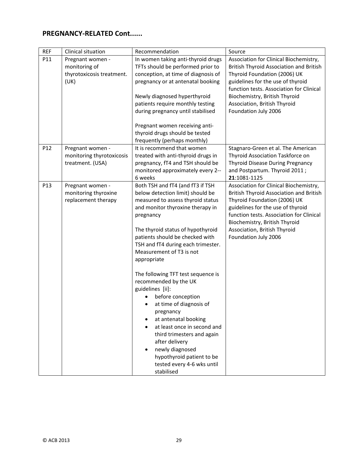## **PREGNANCY‐RELATED Cont......**

| <b>REF</b> | Clinical situation                                                     | Recommendation                                                                                                                                                                                                                                                                                                                                                                                                                                                                                                                                                                                                                                                              | Source                                                                                                                                                                                                                                                                                      |
|------------|------------------------------------------------------------------------|-----------------------------------------------------------------------------------------------------------------------------------------------------------------------------------------------------------------------------------------------------------------------------------------------------------------------------------------------------------------------------------------------------------------------------------------------------------------------------------------------------------------------------------------------------------------------------------------------------------------------------------------------------------------------------|---------------------------------------------------------------------------------------------------------------------------------------------------------------------------------------------------------------------------------------------------------------------------------------------|
| P11        | Pregnant women -<br>monitoring of<br>thyrotoxicosis treatment.<br>(UK) | In women taking anti-thyroid drugs<br>TFTs should be performed prior to<br>conception, at time of diagnosis of<br>pregnancy or at antenatal booking<br>Newly diagnosed hyperthyroid<br>patients require monthly testing<br>during pregnancy until stabilised<br>Pregnant women receiving anti-                                                                                                                                                                                                                                                                                                                                                                              | Association for Clinical Biochemistry,<br>British Thyroid Association and British<br>Thyroid Foundation (2006) UK<br>guidelines for the use of thyroid<br>function tests. Association for Clinical<br>Biochemistry, British Thyroid<br>Association, British Thyroid<br>Foundation July 2006 |
|            |                                                                        | thyroid drugs should be tested<br>frequently (perhaps monthly)                                                                                                                                                                                                                                                                                                                                                                                                                                                                                                                                                                                                              |                                                                                                                                                                                                                                                                                             |
| P12        | Pregnant women -<br>monitoring thyrotoxicosis<br>treatment. (USA)      | It is recommend that women<br>treated with anti-thyroid drugs in<br>pregnancy, fT4 and TSH should be<br>monitored approximately every 2--<br>6 weeks                                                                                                                                                                                                                                                                                                                                                                                                                                                                                                                        | Stagnaro-Green et al. The American<br>Thyroid Association Taskforce on<br>Thyroid Disease During Pregnancy<br>and Postpartum. Thyroid 2011;<br>21:1081-1125                                                                                                                                 |
| P13        | Pregnant women -<br>monitoring thyroxine<br>replacement therapy        | Both TSH and fT4 (and fT3 if TSH<br>below detection limit) should be<br>measured to assess thyroid status<br>and monitor thyroxine therapy in<br>pregnancy<br>The thyroid status of hypothyroid<br>patients should be checked with<br>TSH and fT4 during each trimester.<br>Measurement of T3 is not<br>appropriate<br>The following TFT test sequence is<br>recommended by the UK<br>guidelines [ii]:<br>before conception<br>at time of diagnosis of<br>٠<br>pregnancy<br>at antenatal booking<br>at least once in second and<br>third trimesters and again<br>after delivery<br>newly diagnosed<br>hypothyroid patient to be<br>tested every 4-6 wks until<br>stabilised | Association for Clinical Biochemistry,<br>British Thyroid Association and British<br>Thyroid Foundation (2006) UK<br>guidelines for the use of thyroid<br>function tests. Association for Clinical<br>Biochemistry, British Thyroid<br>Association, British Thyroid<br>Foundation July 2006 |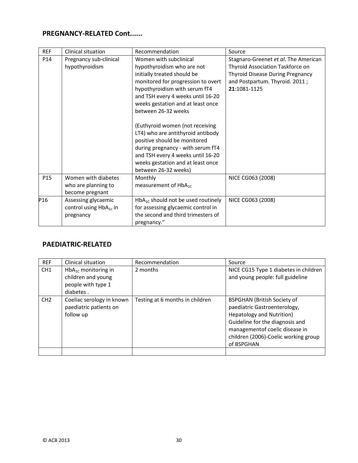## **PREGNANCY‐RELATED Cont......**

| <b>REF</b> | Clinical situation                                              | Recommendation                                                                                                                                                                                                                                                                                                                                                                                                                                                                                             | Source                                                                                                                                                                |
|------------|-----------------------------------------------------------------|------------------------------------------------------------------------------------------------------------------------------------------------------------------------------------------------------------------------------------------------------------------------------------------------------------------------------------------------------------------------------------------------------------------------------------------------------------------------------------------------------------|-----------------------------------------------------------------------------------------------------------------------------------------------------------------------|
| P14        | Pregnancy sub-clinical<br>hypothyroidism                        | Women with subclinical<br>hypothyroidism who are not<br>initially treated should be<br>monitored for progression to overt<br>hypothyroidism with serum fT4<br>and TSH every 4 weeks until 16-20<br>weeks gestation and at least once<br>between 26-32 weeks<br>(Euthyroid women (not receiving<br>LT4) who are antithyroid antibody<br>positive should be monitored<br>during pregnancy - with serum fT4<br>and TSH every 4 weeks until 16-20<br>weeks gestation and at least once<br>between 26-32 weeks) | Stagnaro-Greenet et al. The American<br>Thyroid Association Taskforce on<br><b>Thyroid Disease During Pregnancy</b><br>and Postpartum. Thyroid. 2011;<br>21:1081-1125 |
| P15        | Women with diabetes<br>who are planning to<br>become pregnant   | Monthly<br>measurement of $HbA_{1c}$                                                                                                                                                                                                                                                                                                                                                                                                                                                                       | NICE CG063 (2008)                                                                                                                                                     |
| P16        | Assessing glycaemic<br>control using $HbA_{1c}$ in<br>pregnancy | $HbA_{1C}$ should not be used routinely<br>for assessing glycaemic control in<br>the second and third trimesters of<br>pregnancy."                                                                                                                                                                                                                                                                                                                                                                         | NICE CG063 (2008)                                                                                                                                                     |

#### **PAEDIATRIC‐RELATED**

| <b>REF</b>      | <b>Clinical situation</b>                                                         | Recommendation                  | Source                                                                                                                                                                                                                     |
|-----------------|-----------------------------------------------------------------------------------|---------------------------------|----------------------------------------------------------------------------------------------------------------------------------------------------------------------------------------------------------------------------|
| CH1             | $HbA_{1C}$ monitoring in<br>children and young<br>people with type 1<br>diabetes. | 2 months                        | NICE CG15 Type 1 diabetes in children<br>and young people: full guideline                                                                                                                                                  |
| CH <sub>2</sub> | Coeliac serology in known<br>paediatric patients on<br>follow up                  | Testing at 6 months in children | <b>BSPGHAN (British Society of</b><br>paediatric Gastroenterology,<br>Hepatology and Nutrition)<br>Guideline for the diagnosis and<br>managementof coelic disease in<br>children (2006)-Coelic working group<br>of BSPGHAN |
|                 |                                                                                   |                                 |                                                                                                                                                                                                                            |